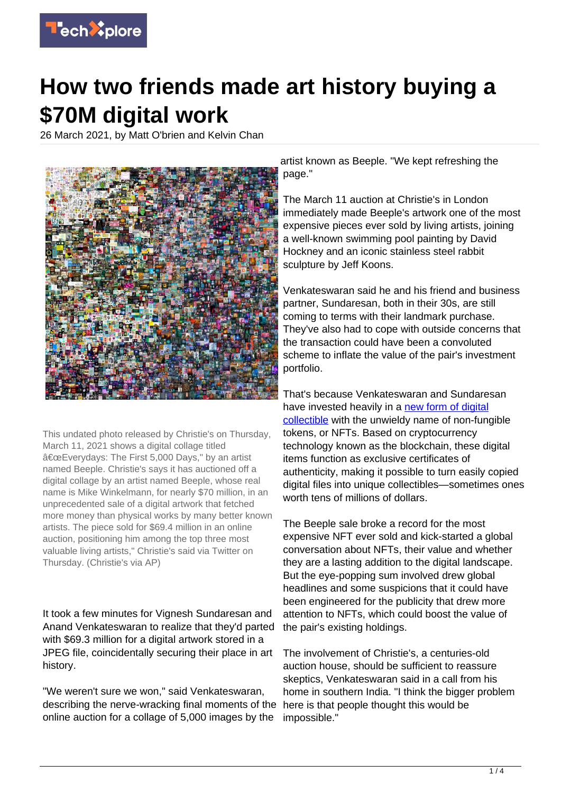

## **How two friends made art history buying a \$70M digital work**

26 March 2021, by Matt O'brien and Kelvin Chan



This undated photo released by Christie's on Thursday, March 11, 2021 shows a digital collage titled "Everydays: The First 5,000 Days," by an artist named Beeple. Christie's says it has auctioned off a digital collage by an artist named Beeple, whose real name is Mike Winkelmann, for nearly \$70 million, in an unprecedented sale of a digital artwork that fetched more money than physical works by many better known artists. The piece sold for \$69.4 million in an online auction, positioning him among the top three most valuable living artists," Christie's said via Twitter on Thursday. (Christie's via AP)

It took a few minutes for Vignesh Sundaresan and Anand Venkateswaran to realize that they'd parted with \$69.3 million for a digital artwork stored in a JPEG file, coincidentally securing their place in art history.

"We weren't sure we won," said Venkateswaran, describing the nerve-wracking final moments of the online auction for a collage of 5,000 images by the

artist known as Beeple. "We kept refreshing the page."

The March 11 auction at Christie's in London immediately made Beeple's artwork one of the most expensive pieces ever sold by living artists, joining a well-known swimming pool painting by David Hockney and an iconic stainless steel rabbit sculpture by Jeff Koons.

Venkateswaran said he and his friend and business partner, Sundaresan, both in their 30s, are still coming to terms with their landmark purchase. They've also had to cope with outside concerns that the transaction could have been a convoluted scheme to inflate the value of the pair's investment portfolio.

That's because Venkateswaran and Sundaresan have invested heavily in a [new form of digital](https://techxplore.com/news/2021-03-craze-nfts.html) [collectible](https://techxplore.com/news/2021-03-craze-nfts.html) with the unwieldy name of non-fungible tokens, or NFTs. Based on cryptocurrency technology known as the blockchain, these digital items function as exclusive certificates of authenticity, making it possible to turn easily copied digital files into unique collectibles—sometimes ones worth tens of millions of dollars.

The Beeple sale broke a record for the most expensive NFT ever sold and kick-started a global conversation about NFTs, their value and whether they are a lasting addition to the digital landscape. But the eye-popping sum involved drew global headlines and some suspicions that it could have been engineered for the publicity that drew more attention to NFTs, which could boost the value of the pair's existing holdings.

The involvement of Christie's, a centuries-old auction house, should be sufficient to reassure skeptics, Venkateswaran said in a call from his home in southern India. "I think the bigger problem here is that people thought this would be impossible."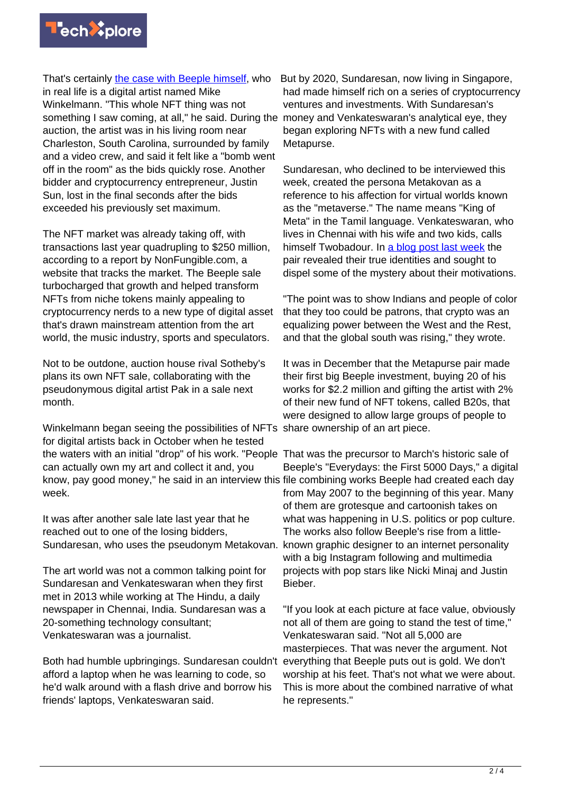

That's certainly [the case with Beeple himself](https://techxplore.com/news/2021-03-qa-artist-beeple-nft-collage.html), who in real life is a digital artist named Mike Winkelmann. "This whole NFT thing was not something I saw coming, at all," he said. During the money and Venkateswaran's analytical eye, they auction, the artist was in his living room near Charleston, South Carolina, surrounded by family and a video crew, and said it felt like a "bomb went off in the room" as the bids quickly rose. Another bidder and cryptocurrency entrepreneur, Justin Sun, lost in the final seconds after the bids exceeded his previously set maximum.

The NFT market was already taking off, with transactions last year quadrupling to \$250 million, according to a report by NonFungible.com, a website that tracks the market. The Beeple sale turbocharged that growth and helped transform NFTs from niche tokens mainly appealing to cryptocurrency nerds to a new type of digital asset that's drawn mainstream attention from the art world, the music industry, sports and speculators.

Not to be outdone, auction house rival Sotheby's plans its own NFT sale, collaborating with the pseudonymous digital artist Pak in a sale next month.

Winkelmann began seeing the possibilities of NFTs share ownership of an art piece. for digital artists back in October when he tested the waters with an initial "drop" of his work. "People That was the precursor to March's historic sale of can actually own my art and collect it and, you know, pay good money," he said in an interview this file combining works Beeple had created each day week.

It was after another sale late last year that he reached out to one of the losing bidders, Sundaresan, who uses the pseudonym Metakovan.

The art world was not a common talking point for Sundaresan and Venkateswaran when they first met in 2013 while working at The Hindu, a daily newspaper in Chennai, India. Sundaresan was a 20-something technology consultant; Venkateswaran was a journalist.

Both had humble upbringings. Sundaresan couldn't everything that Beeple puts out is gold. We don't afford a laptop when he was learning to code, so he'd walk around with a flash drive and borrow his friends' laptops, Venkateswaran said.

But by 2020, Sundaresan, now living in Singapore, had made himself rich on a series of cryptocurrency ventures and investments. With Sundaresan's began exploring NFTs with a new fund called Metapurse.

Sundaresan, who declined to be interviewed this week, created the persona Metakovan as a reference to his affection for virtual worlds known as the "metaverse." The name means "King of Meta" in the Tamil language. Venkateswaran, who lives in Chennai with his wife and two kids, calls himself Twobadour. In [a blog post last week](https://metapurser.substack.com/p/nfts-the-first-5000-beeples) the pair revealed their true identities and sought to dispel some of the mystery about their motivations.

"The point was to show Indians and people of color that they too could be patrons, that crypto was an equalizing power between the West and the Rest, and that the global south was rising," they wrote.

It was in December that the Metapurse pair made their first big Beeple investment, buying 20 of his works for \$2.2 million and gifting the artist with 2% of their new fund of NFT tokens, called B20s, that were designed to allow large groups of people to

Beeple's "Everydays: the First 5000 Days," a digital from May 2007 to the beginning of this year. Many of them are grotesque and cartoonish takes on what was happening in U.S. politics or pop culture. The works also follow Beeple's rise from a littleknown graphic designer to an internet personality with a big Instagram following and multimedia projects with pop stars like Nicki Minaj and Justin Bieber.

"If you look at each picture at face value, obviously not all of them are going to stand the test of time," Venkateswaran said. "Not all 5,000 are masterpieces. That was never the argument. Not worship at his feet. That's not what we were about. This is more about the combined narrative of what he represents."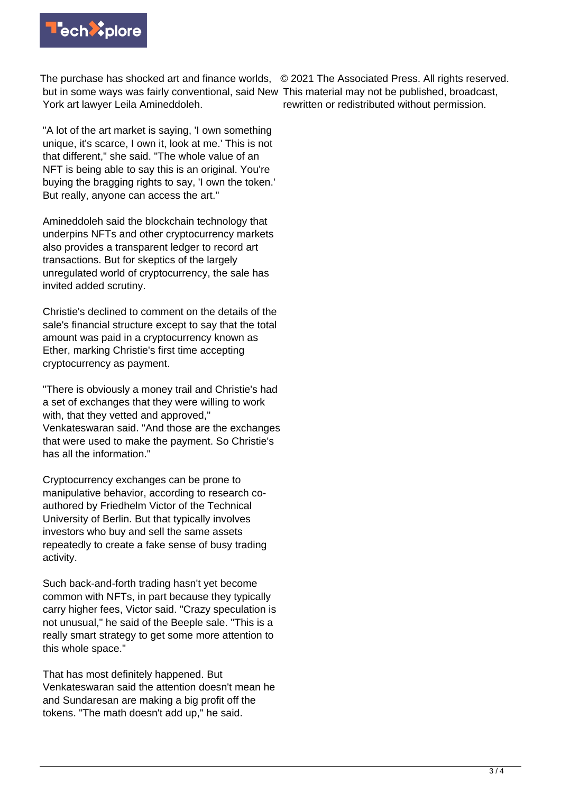

The purchase has shocked art and finance worlds, © 2021 The Associated Press. All rights reserved. but in some ways was fairly conventional, said New This material may not be published, broadcast, York art lawyer Leila Amineddoleh. rewritten or redistributed without permission.

"A lot of the art market is saying, 'I own something unique, it's scarce, I own it, look at me.' This is not that different," she said. "The whole value of an NFT is being able to say this is an original. You're buying the bragging rights to say, 'I own the token.' But really, anyone can access the art."

Amineddoleh said the blockchain technology that underpins NFTs and other cryptocurrency markets also provides a transparent ledger to record art transactions. But for skeptics of the largely unregulated world of cryptocurrency, the sale has invited added scrutiny.

Christie's declined to comment on the details of the sale's financial structure except to say that the total amount was paid in a cryptocurrency known as Ether, marking Christie's first time accepting cryptocurrency as payment.

"There is obviously a money trail and Christie's had a set of exchanges that they were willing to work with, that they vetted and approved," Venkateswaran said. "And those are the exchanges that were used to make the payment. So Christie's has all the information."

Cryptocurrency exchanges can be prone to manipulative behavior, according to research coauthored by Friedhelm Victor of the Technical University of Berlin. But that typically involves investors who buy and sell the same assets repeatedly to create a fake sense of busy trading activity.

Such back-and-forth trading hasn't yet become common with NFTs, in part because they typically carry higher fees, Victor said. "Crazy speculation is not unusual," he said of the Beeple sale. "This is a really smart strategy to get some more attention to this whole space."

That has most definitely happened. But Venkateswaran said the attention doesn't mean he and Sundaresan are making a big profit off the tokens. "The math doesn't add up," he said.